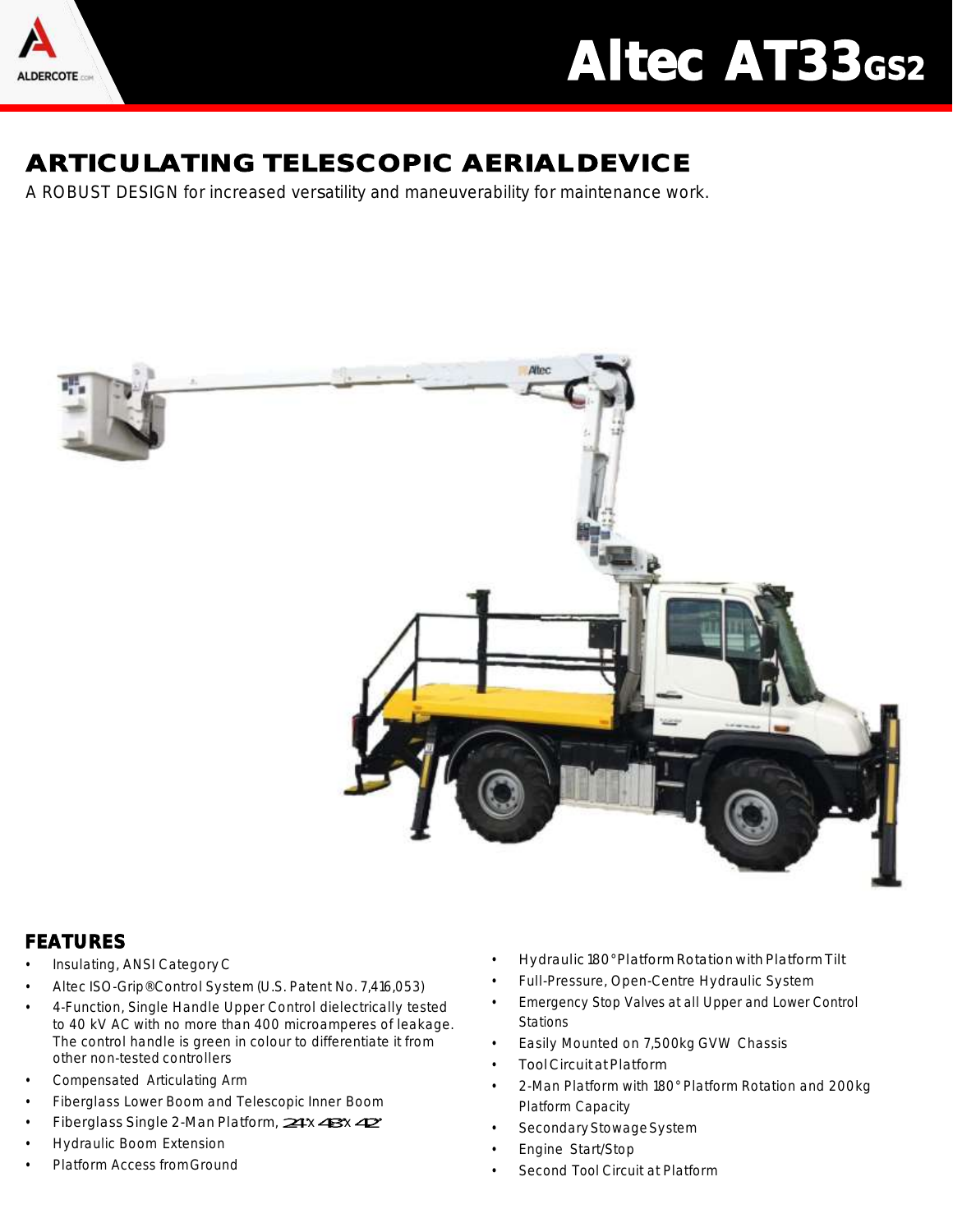

## Altec AT33<sub>GS2</sub>

## ARTICULATING TELESCOPIC AERIAL DEVICE

A ROBUST DESIGN for increased versatility and maneuverability for maintenance work.



## FEATURES

- Insulating, ANSI CategoryC
- Altec ISO-Grip® Control System (U.S. Patent No. 7,416,053)
- 4-Function, Single Handle Upper Control dielectrically tested to 40 kV AC with no more than 400 microamperes of leakage. The control handle is green in colour to differentiate it from other non-tested controllers
- Compensated Articulating Arm
- Fiberglass Lower Boom and Telescopic Inner Boom
- Fiberglass Single 2-Man Platform, 24x 43x 42
- Hydraulic Boom Extension
- Platform Access fromGround
- Hydraulic 180° Platform Rotation with Platform Tilt
- Full-Pressure, Open-Centre Hydraulic System
- Emergency Stop Valves at all Upper and Lower Control Stations
- Easily Mounted on 7,500kg GVW Chassis
- ToolCircuitatPlatform
- 2-Man Platform with 180° Platform Rotation and 200kg Platform Capacity
- Secondary Stowage System
- Engine Start/Stop
- Second Tool Circuit at Platform